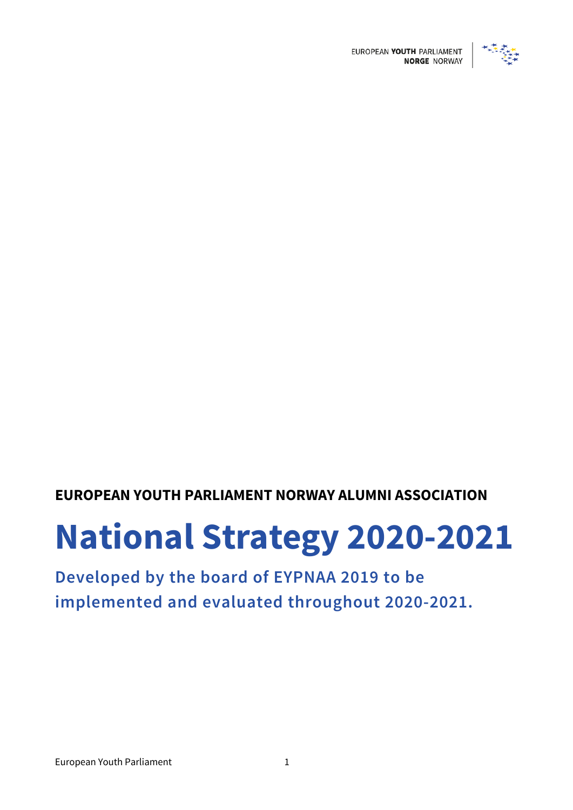

EUROPEAN YOUTH PARLIAMENT

# **EUROPEAN YOUTH PARLIAMENT NORWAY ALUMNI ASSOCIATION**

# **National Strategy 2020-2021**

# **Developed by the board of EYPNAA 2019 to be implemented and evaluated throughout 2020-2021.**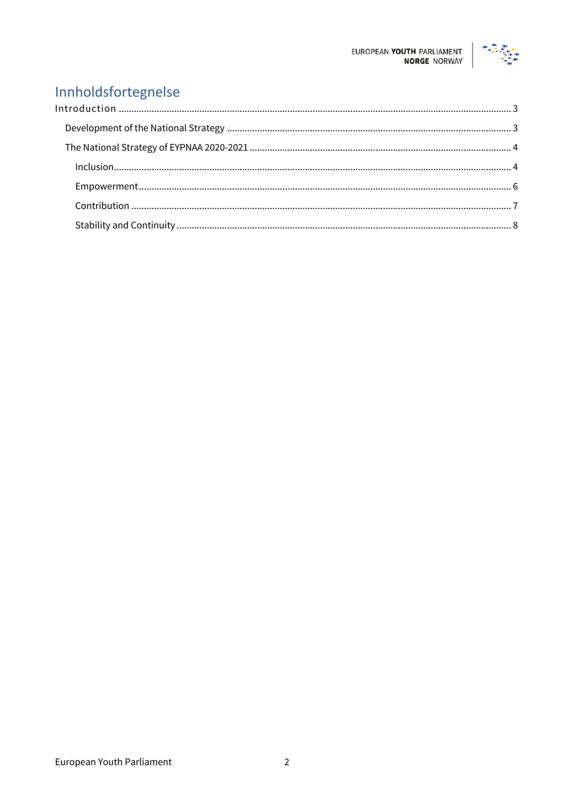

# Innholdsfortegnelse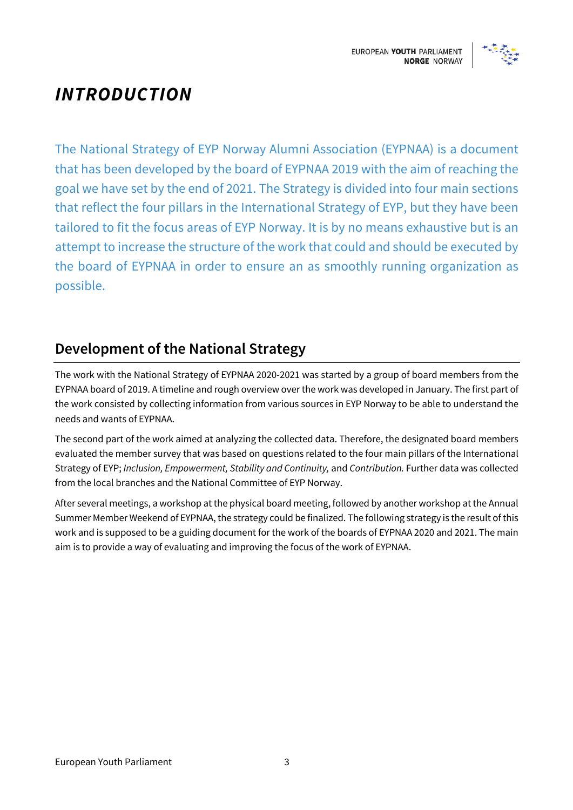

# *INTRODUCTION*

The National Strategy of EYP Norway Alumni Association (EYPNAA) is a document that has been developed by the board of EYPNAA 2019 with the aim of reaching the goal we have set by the end of 2021. The Strategy is divided into four main sections that reflect the four pillars in the International Strategy of EYP, but they have been tailored to fit the focus areas of EYP Norway. It is by no means exhaustive but is an attempt to increase the structure of the work that could and should be executed by the board of EYPNAA in order to ensure an as smoothly running organization as possible.

# **Development of the National Strategy**

The work with the National Strategy of EYPNAA 2020-2021 was started by a group of board members from the EYPNAA board of 2019. A timeline and rough overview over the work was developed in January. The first part of the work consisted by collecting information from various sources in EYP Norway to be able to understand the needs and wants of EYPNAA.

The second part of the work aimed at analyzing the collected data. Therefore, the designated board members evaluated the member survey that was based on questions related to the four main pillars of the International Strategy of EYP; *Inclusion, Empowerment, Stability and Continuity,* and *Contribution.* Further data was collected from the local branches and the National Committee of EYP Norway.

After several meetings, a workshop at the physical board meeting, followed by another workshop at the Annual Summer Member Weekend of EYPNAA, the strategy could be finalized. The following strategy is the result of this work and is supposed to be a guiding document for the work of the boards of EYPNAA 2020 and 2021. The main aim is to provide a way of evaluating and improving the focus of the work of EYPNAA.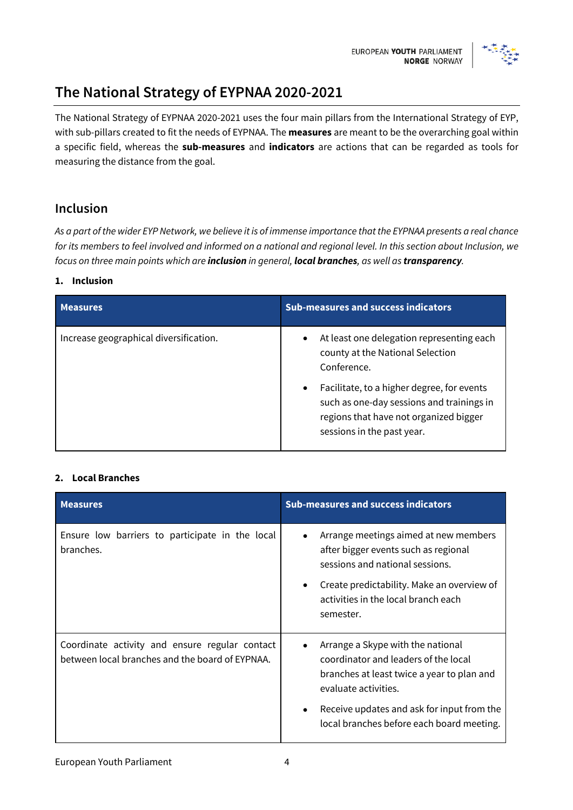

# **The National Strategy of EYPNAA 2020-2021**

The National Strategy of EYPNAA 2020-2021 uses the four main pillars from the International Strategy of EYP, with sub-pillars created to fit the needs of EYPNAA. The **measures** are meant to be the overarching goal within a specific field, whereas the **sub-measures** and **indicators** are actions that can be regarded as tools for measuring the distance from the goal.

### **Inclusion**

*As a part of the wider EYP Network, we believe it is of immense importance that the EYPNAA presents a real chance for its members to feel involved and informed on a national and regional level. In this section about Inclusion, we focus on three main points which are inclusion in general, local branches, as well as transparency.* 

#### **1. Inclusion**

| <b>Measures</b>                        | <b>Sub-measures and success indicators</b>                                                                                                                                   |
|----------------------------------------|------------------------------------------------------------------------------------------------------------------------------------------------------------------------------|
| Increase geographical diversification. | At least one delegation representing each<br>$\bullet$<br>county at the National Selection<br>Conference.                                                                    |
|                                        | Facilitate, to a higher degree, for events<br>$\bullet$<br>such as one-day sessions and trainings in<br>regions that have not organized bigger<br>sessions in the past year. |

#### **2. Local Branches**

| <b>Measures</b>                                                                                   | <b>Sub-measures and success indicators</b>                                                                                                                                                                                                                   |
|---------------------------------------------------------------------------------------------------|--------------------------------------------------------------------------------------------------------------------------------------------------------------------------------------------------------------------------------------------------------------|
| Ensure low barriers to participate in the local<br>branches.                                      | Arrange meetings aimed at new members<br>$\bullet$<br>after bigger events such as regional<br>sessions and national sessions.<br>Create predictability. Make an overview of<br>٠<br>activities in the local branch each<br>semester.                         |
| Coordinate activity and ensure regular contact<br>between local branches and the board of EYPNAA. | Arrange a Skype with the national<br>٠<br>coordinator and leaders of the local<br>branches at least twice a year to plan and<br>evaluate activities.<br>Receive updates and ask for input from the<br>$\bullet$<br>local branches before each board meeting. |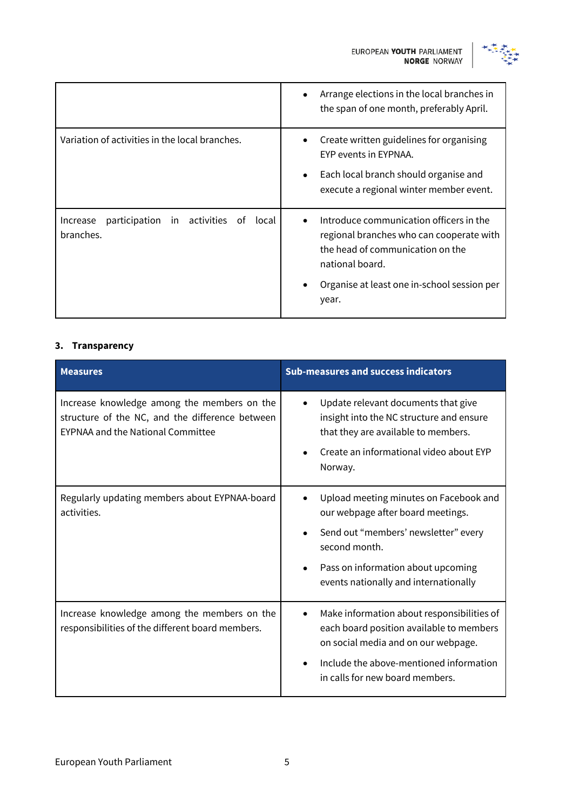

|                                                                        | Arrange elections in the local branches in<br>$\bullet$<br>the span of one month, preferably April.                                                                                                             |
|------------------------------------------------------------------------|-----------------------------------------------------------------------------------------------------------------------------------------------------------------------------------------------------------------|
| Variation of activities in the local branches.                         | Create written guidelines for organising<br>EYP events in EYPNAA.<br>Each local branch should organise and<br>$\bullet$<br>execute a regional winter member event.                                              |
| in activities<br>participation<br>local<br>Increase<br>of<br>branches. | Introduce communication officers in the<br>$\bullet$<br>regional branches who can cooperate with<br>the head of communication on the<br>national board.<br>Organise at least one in-school session per<br>year. |

#### **3. Transparency**

| <b>Measures</b>                                                                                                                            | <b>Sub-measures and success indicators</b>                                                                                                                                                                                       |
|--------------------------------------------------------------------------------------------------------------------------------------------|----------------------------------------------------------------------------------------------------------------------------------------------------------------------------------------------------------------------------------|
| Increase knowledge among the members on the<br>structure of the NC, and the difference between<br><b>EYPNAA and the National Committee</b> | Update relevant documents that give<br>insight into the NC structure and ensure<br>that they are available to members.<br>Create an informational video about EYP<br>Norway.                                                     |
| Regularly updating members about EYPNAA-board<br>activities.                                                                               | Upload meeting minutes on Facebook and<br>our webpage after board meetings.<br>Send out "members' newsletter" every<br>second month.<br>Pass on information about upcoming<br>$\bullet$<br>events nationally and internationally |
| Increase knowledge among the members on the<br>responsibilities of the different board members.                                            | Make information about responsibilities of<br>$\bullet$<br>each board position available to members<br>on social media and on our webpage.<br>Include the above-mentioned information<br>in calls for new board members.         |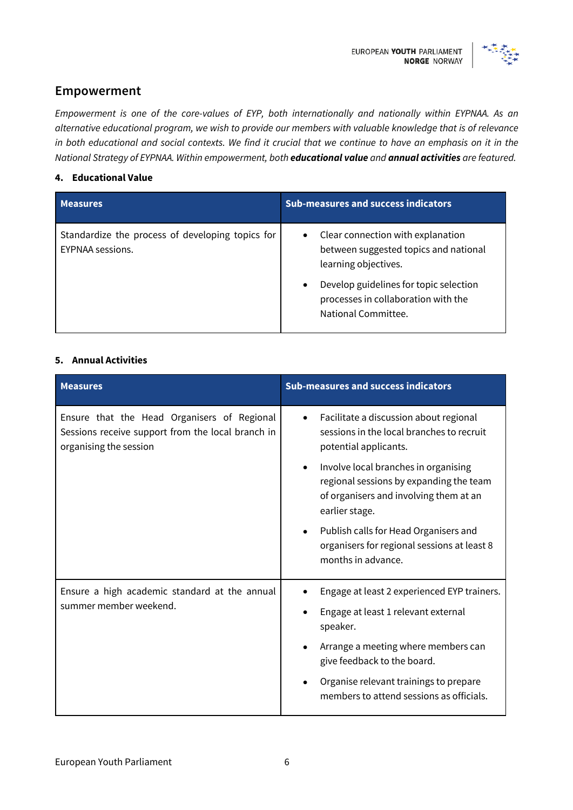

#### **Empowerment**

*Empowerment is one of the core-values of EYP, both internationally and nationally within EYPNAA. As an alternative educational program, we wish to provide our members with valuable knowledge that is of relevance in both educational and social contexts. We find it crucial that we continue to have an emphasis on it in the National Strategy of EYPNAA. Within empowerment, both educational value and annual activities are featured.*

#### **4. Educational Value**

| <b>Measures</b>                                                      | <b>Sub-measures and success indicators</b>                                                                                                                                                                                           |
|----------------------------------------------------------------------|--------------------------------------------------------------------------------------------------------------------------------------------------------------------------------------------------------------------------------------|
| Standardize the process of developing topics for<br>EYPNAA sessions. | Clear connection with explanation<br>$\bullet$<br>between suggested topics and national<br>learning objectives.<br>Develop guidelines for topic selection<br>$\bullet$<br>processes in collaboration with the<br>National Committee. |

#### **5. Annual Activities**

| <b>Measures</b>                                                                                                            | <b>Sub-measures and success indicators</b>                                                                                                  |
|----------------------------------------------------------------------------------------------------------------------------|---------------------------------------------------------------------------------------------------------------------------------------------|
| Ensure that the Head Organisers of Regional<br>Sessions receive support from the local branch in<br>organising the session | Facilitate a discussion about regional<br>$\bullet$<br>sessions in the local branches to recruit<br>potential applicants.                   |
|                                                                                                                            | Involve local branches in organising<br>regional sessions by expanding the team<br>of organisers and involving them at an<br>earlier stage. |
|                                                                                                                            | Publish calls for Head Organisers and<br>organisers for regional sessions at least 8<br>months in advance.                                  |
| Ensure a high academic standard at the annual<br>summer member weekend.                                                    | Engage at least 2 experienced EYP trainers.                                                                                                 |
|                                                                                                                            | Engage at least 1 relevant external<br>speaker.                                                                                             |
|                                                                                                                            | Arrange a meeting where members can<br>give feedback to the board.                                                                          |
|                                                                                                                            | Organise relevant trainings to prepare<br>members to attend sessions as officials.                                                          |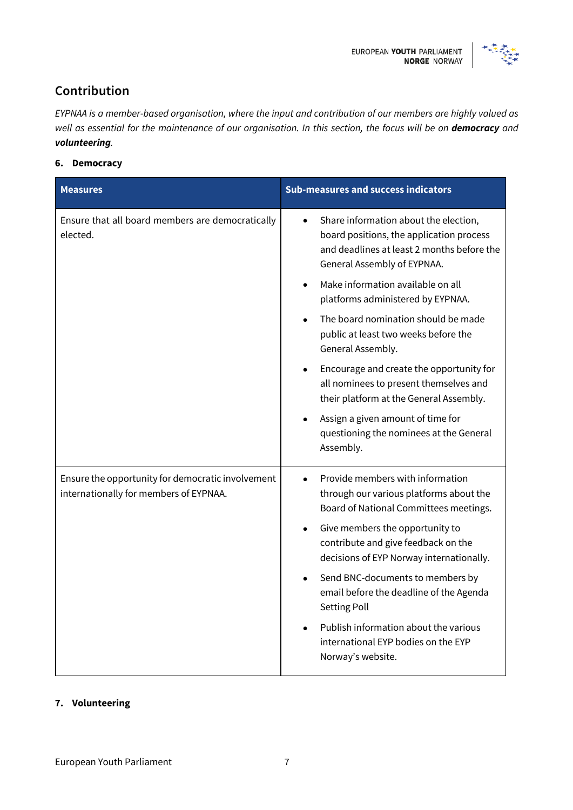

### **Contribution**

*EYPNAA is a member-based organisation, where the input and contribution of our members are highly valued as well as essential for the maintenance of our organisation. In this section, the focus will be on democracy and volunteering.*

**6. Democracy**

| <b>Measures</b>                                                                             | <b>Sub-measures and success indicators</b>                                                                                                                                  |
|---------------------------------------------------------------------------------------------|-----------------------------------------------------------------------------------------------------------------------------------------------------------------------------|
| Ensure that all board members are democratically<br>elected.                                | Share information about the election,<br>$\bullet$<br>board positions, the application process<br>and deadlines at least 2 months before the<br>General Assembly of EYPNAA. |
|                                                                                             | Make information available on all<br>platforms administered by EYPNAA.                                                                                                      |
|                                                                                             | The board nomination should be made<br>public at least two weeks before the<br>General Assembly.                                                                            |
|                                                                                             | Encourage and create the opportunity for<br>all nominees to present themselves and<br>their platform at the General Assembly.                                               |
|                                                                                             | Assign a given amount of time for<br>questioning the nominees at the General<br>Assembly.                                                                                   |
| Ensure the opportunity for democratic involvement<br>internationally for members of EYPNAA. | Provide members with information<br>through our various platforms about the<br>Board of National Committees meetings.                                                       |
|                                                                                             | Give members the opportunity to<br>contribute and give feedback on the<br>decisions of EYP Norway internationally.                                                          |
|                                                                                             | Send BNC-documents to members by<br>email before the deadline of the Agenda<br>Setting Poll                                                                                 |
|                                                                                             | Publish information about the various<br>international EYP bodies on the EYP<br>Norway's website.                                                                           |

#### **7. Volunteering**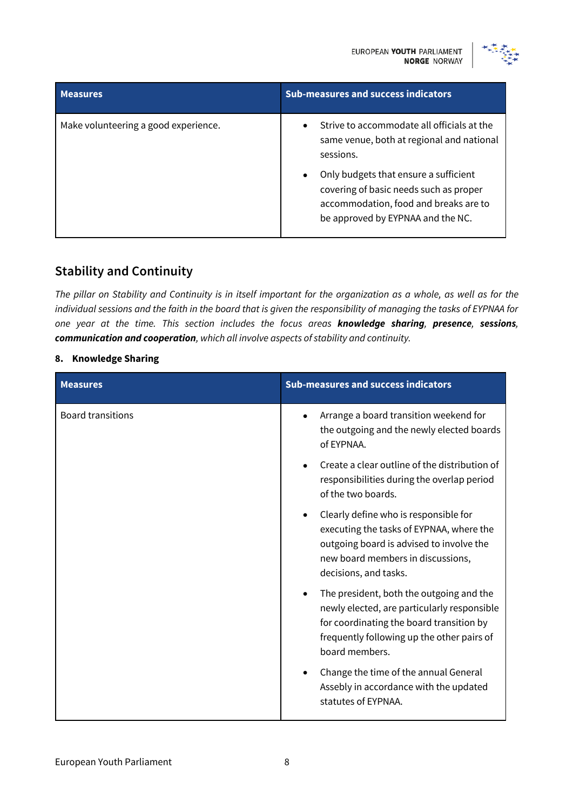

| <b>Measures</b>                      | <b>Sub-measures and success indicators</b>                                                                                                                                                                                                                                              |
|--------------------------------------|-----------------------------------------------------------------------------------------------------------------------------------------------------------------------------------------------------------------------------------------------------------------------------------------|
| Make volunteering a good experience. | Strive to accommodate all officials at the<br>$\bullet$<br>same venue, both at regional and national<br>sessions.<br>Only budgets that ensure a sufficient<br>٠<br>covering of basic needs such as proper<br>accommodation, food and breaks are to<br>be approved by EYPNAA and the NC. |

#### **Stability and Continuity**

*The pillar on Stability and Continuity is in itself important for the organization as a whole, as well as for the individual sessions and the faith in the board that is given the responsibility of managing the tasks of EYPNAA for one year at the time. This section includes the focus areas knowledge sharing, presence, sessions, communication and cooperation, which all involve aspects of stability and continuity.* 

#### **8. Knowledge Sharing**

| <b>Measures</b>          | <b>Sub-measures and success indicators</b>                                                                                                                                                          |
|--------------------------|-----------------------------------------------------------------------------------------------------------------------------------------------------------------------------------------------------|
| <b>Board transitions</b> | Arrange a board transition weekend for<br>the outgoing and the newly elected boards<br>of EYPNAA.                                                                                                   |
|                          | Create a clear outline of the distribution of<br>$\bullet$<br>responsibilities during the overlap period<br>of the two boards.                                                                      |
|                          | Clearly define who is responsible for<br>executing the tasks of EYPNAA, where the<br>outgoing board is advised to involve the<br>new board members in discussions,<br>decisions, and tasks.         |
|                          | The president, both the outgoing and the<br>newly elected, are particularly responsible<br>for coordinating the board transition by<br>frequently following up the other pairs of<br>board members. |
|                          | Change the time of the annual General<br>Assebly in accordance with the updated<br>statutes of EYPNAA.                                                                                              |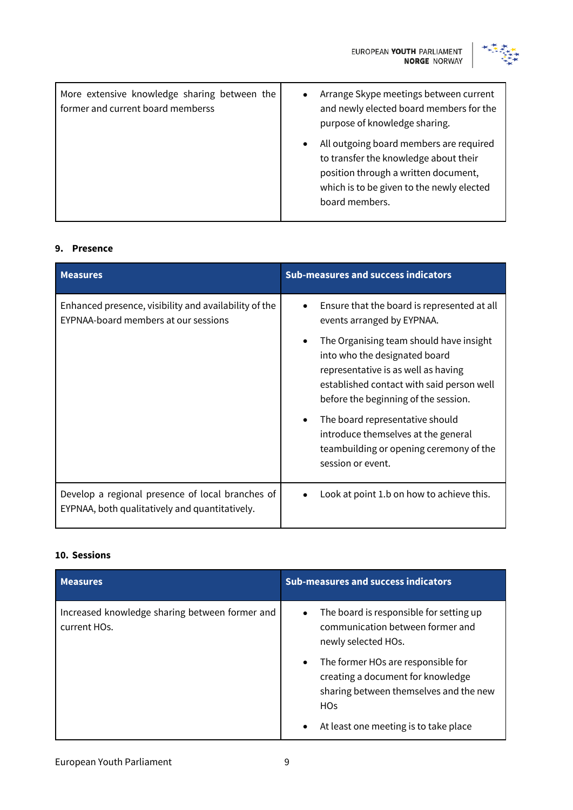



| More extensive knowledge sharing between the<br>former and current board memberss | Arrange Skype meetings between current<br>$\bullet$<br>and newly elected board members for the<br>purpose of knowledge sharing.                                                                      |
|-----------------------------------------------------------------------------------|------------------------------------------------------------------------------------------------------------------------------------------------------------------------------------------------------|
|                                                                                   | All outgoing board members are required<br>$\bullet$<br>to transfer the knowledge about their<br>position through a written document,<br>which is to be given to the newly elected<br>board members. |

#### **9. Presence**

| <b>Measures</b>                                                                                    | <b>Sub-measures and success indicators</b>                                                                                                                                                                                                                                        |
|----------------------------------------------------------------------------------------------------|-----------------------------------------------------------------------------------------------------------------------------------------------------------------------------------------------------------------------------------------------------------------------------------|
| Enhanced presence, visibility and availability of the<br>EYPNAA-board members at our sessions      | Ensure that the board is represented at all<br>events arranged by EYPNAA.<br>The Organising team should have insight<br>into who the designated board<br>representative is as well as having<br>established contact with said person well<br>before the beginning of the session. |
|                                                                                                    | The board representative should<br>introduce themselves at the general<br>teambuilding or opening ceremony of the<br>session or event.                                                                                                                                            |
| Develop a regional presence of local branches of<br>EYPNAA, both qualitatively and quantitatively. | Look at point 1.b on how to achieve this.                                                                                                                                                                                                                                         |

#### **10. Sessions**

| <b>Measures</b>                                                | <b>Sub-measures and success indicators</b>                                                                                                        |
|----------------------------------------------------------------|---------------------------------------------------------------------------------------------------------------------------------------------------|
| Increased knowledge sharing between former and<br>current HOs. | The board is responsible for setting up<br>$\bullet$<br>communication between former and<br>newly selected HOs.                                   |
|                                                                | The former HOs are responsible for<br>$\bullet$<br>creating a document for knowledge<br>sharing between themselves and the new<br>H <sub>Os</sub> |
|                                                                | At least one meeting is to take place<br>$\bullet$                                                                                                |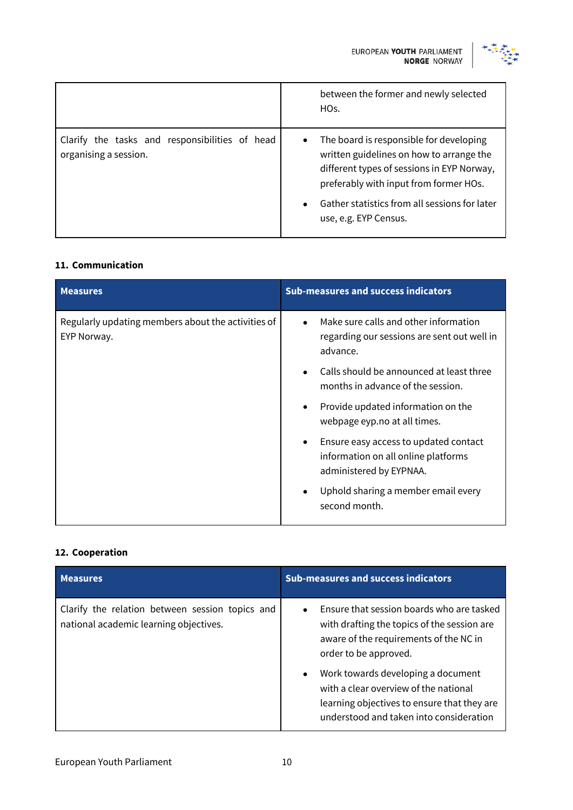

|                                                                         | between the former and newly selected<br>HOs.                                                                                                                                                                                                                      |
|-------------------------------------------------------------------------|--------------------------------------------------------------------------------------------------------------------------------------------------------------------------------------------------------------------------------------------------------------------|
| Clarify the tasks and responsibilities of head<br>organising a session. | The board is responsible for developing<br>$\bullet$<br>written guidelines on how to arrange the<br>different types of sessions in EYP Norway,<br>preferably with input from former HOs.<br>Gather statistics from all sessions for later<br>use, e.g. EYP Census. |

#### **11. Communication**

| <b>Measures</b>                                                   | <b>Sub-measures and success indicators</b>                                                                           |
|-------------------------------------------------------------------|----------------------------------------------------------------------------------------------------------------------|
| Regularly updating members about the activities of<br>EYP Norway. | Make sure calls and other information<br>$\bullet$<br>regarding our sessions are sent out well in<br>advance.        |
|                                                                   | Calls should be announced at least three<br>$\bullet$<br>months in advance of the session.                           |
|                                                                   | Provide updated information on the<br>$\bullet$<br>webpage eyp.no at all times.                                      |
|                                                                   | Ensure easy access to updated contact<br>$\bullet$<br>information on all online platforms<br>administered by EYPNAA. |
|                                                                   | Uphold sharing a member email every<br>$\bullet$<br>second month.                                                    |

#### **12. Cooperation**

| <b>Measures</b>                                                                           | <b>Sub-measures and success indicators</b>                                                                                                                                                                                                                                                                                                                     |
|-------------------------------------------------------------------------------------------|----------------------------------------------------------------------------------------------------------------------------------------------------------------------------------------------------------------------------------------------------------------------------------------------------------------------------------------------------------------|
| Clarify the relation between session topics and<br>national academic learning objectives. | Ensure that session boards who are tasked<br>$\bullet$<br>with drafting the topics of the session are<br>aware of the requirements of the NC in<br>order to be approved.<br>Work towards developing a document<br>$\bullet$<br>with a clear overview of the national<br>learning objectives to ensure that they are<br>understood and taken into consideration |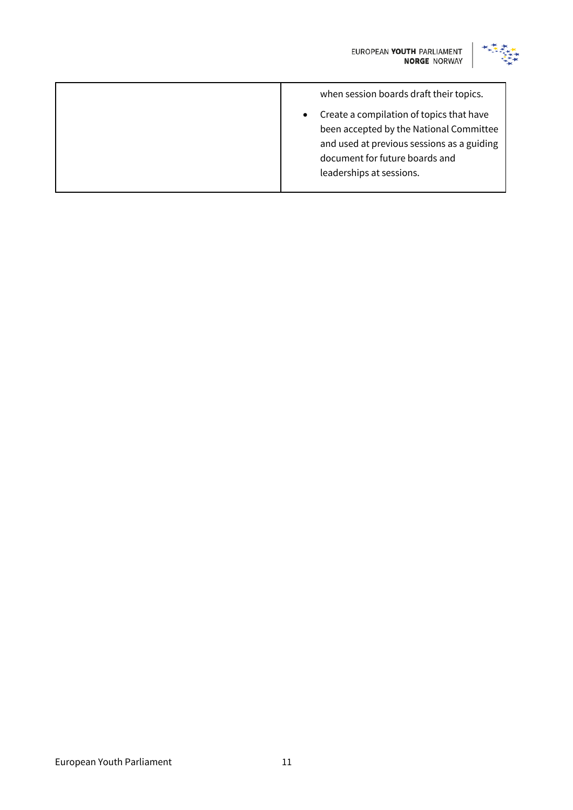

| when session boards draft their topics.                                                                                                                                                         |
|-------------------------------------------------------------------------------------------------------------------------------------------------------------------------------------------------|
| Create a compilation of topics that have<br>been accepted by the National Committee<br>and used at previous sessions as a guiding<br>document for future boards and<br>leaderships at sessions. |
|                                                                                                                                                                                                 |